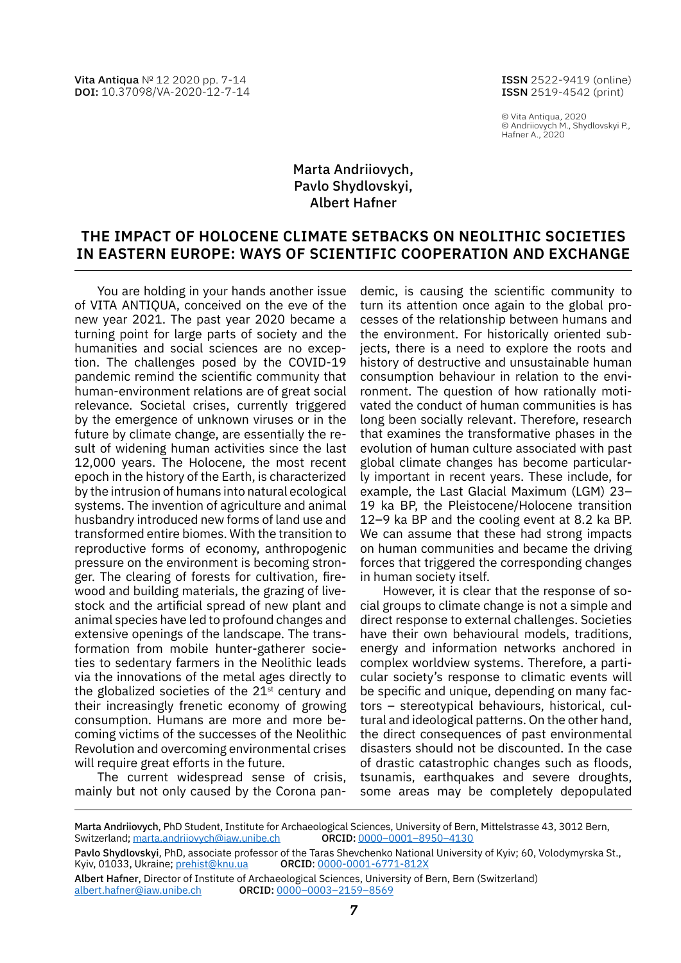Vita Antiqua № 12 2020 pp. 7-14 DOI: [10.37098/VA-2020-12-7-14](https://www.doi.org/10.37098/VA-2020-12-7-14)

ISSN 2522-9419 (online) ISSN 2519-4542 (print)

© Vita Antiqua, 2020 © Andriiovych M., Shydlovskyi P., Hafner A., 2020

# Marta Andriiovych, Pavlo Shydlovskyi, Albert Hafner

# **The impact of Holocene climate setbacks on Neolithic societies in Eastern Europe: ways of scientific cooperation and exchange**

You are holding in your hands another issue of VITA ANTIQUA, conceived on the eve of the new year 2021. The past year 2020 became a turning point for large parts of society and the humanities and social sciences are no exception. The challenges posed by the COVID-19 pandemic remind the scientific community that human-environment relations are of great social relevance. Societal crises, currently triggered by the emergence of unknown viruses or in the future by climate change, are essentially the result of widening human activities since the last 12,000 years. The Holocene, the most recent epoch in the history of the Earth, is characterized by the intrusion of humans into natural ecological systems. The invention of agriculture and animal husbandry introduced new forms of land use and transformed entire biomes. With the transition to reproductive forms of economy, anthropogenic pressure on the environment is becoming stronger. The clearing of forests for cultivation, firewood and building materials, the grazing of livestock and the artificial spread of new plant and animal species have led to profound changes and extensive openings of the landscape. The transformation from mobile hunter-gatherer societies to sedentary farmers in the Neolithic leads via the innovations of the metal ages directly to the globalized societies of the  $21<sup>st</sup>$  century and their increasingly frenetic economy of growing consumption. Humans are more and more becoming victims of the successes of the Neolithic Revolution and overcoming environmental crises will require great efforts in the future.

The current widespread sense of crisis, mainly but not only caused by the Corona pan-

demic, is causing the scientific community to turn its attention once again to the global processes of the relationship between humans and the environment. For historically oriented subjects, there is a need to explore the roots and history of destructive and unsustainable human consumption behaviour in relation to the environment. The question of how rationally motivated the conduct of human communities is has long been socially relevant. Therefore, research that examines the transformative phases in the evolution of human culture associated with past global climate changes has become particularly important in recent years. These include, for example, the Last Glacial Maximum (LGM) 23– 19 ka BP, the Pleistocene/Holocene transition 12–9 ka BP and the cooling event at 8.2 ka BP. We can assume that these had strong impacts on human communities and became the driving forces that triggered the corresponding changes in human society itself.

However, it is clear that the response of social groups to climate change is not a simple and direct response to external challenges. Societies have their own behavioural models, traditions, energy and information networks anchored in complex worldview systems. Therefore, a particular society's response to climatic events will be specific and unique, depending on many factors – stereotypical behaviours, historical, cultural and ideological patterns. On the other hand, the direct consequences of past environmental disasters should not be discounted. In the case of drastic catastrophic changes such as floods, tsunamis, earthquakes and severe droughts, some areas may be completely depopulated

Marta Andriiovych, PhD Student, Institute for Archaeological Sciences, University of Bern, Mittelstrasse 43, 3012 Bern,<br>Switzerland; marta.andriiovych@iaw.unibe.ch ORCID: 0000–0001–8950–4130 Switzerland; [marta.andriiovych@iaw.unibe.ch](mailto:marta.andriiovych%40iaw.unibe.ch?subject=)

Pavlo Shydlovskyi, PhD, associate professor of the Taras Shevchenko National University of Kyiv; 60, Volodymyrska St.,<br>Kyiv, 01033, Ukraine; <u>prehist@knu.ua</u> ORCID: <u>0000-0001-6771-812X</u> Kyiv, 01033, Ukraine; [prehist@knu.ua](mailto:prehist%40knu.ua?subject=)

Albert Hafner, Director of Institute of Archaeological Sciences, University of Bern, Bern (Switzerland) [albert.hafner@iaw.unibe.ch](mailto:albert.hafner%40iaw.unibe.ch?subject=) orcid: [0000–0003–2159–8569](https://orcid.org/0000-0003-2159-8569)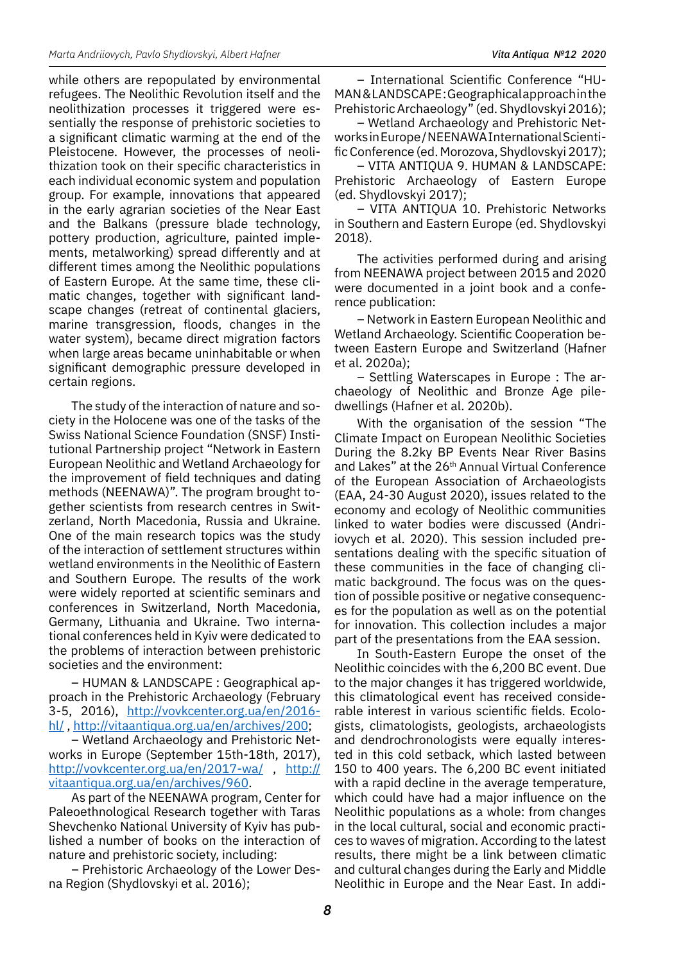while others are repopulated by environmental refugees. The Neolithic Revolution itself and the neolithization processes it triggered were essentially the response of prehistoric societies to a significant climatic warming at the end of the Pleistocene. However, the processes of neolithization took on their specific characteristics in each individual economic system and population group. For example, innovations that appeared in the early agrarian societies of the Near East and the Balkans (pressure blade technology, pottery production, agriculture, painted implements, metalworking) spread differently and at different times among the Neolithic populations of Eastern Europe. At the same time, these climatic changes, together with significant landscape changes (retreat of continental glaciers, marine transgression, floods, changes in the water system), became direct migration factors when large areas became uninhabitable or when significant demographic pressure developed in certain regions.

The study of the interaction of nature and society in the Holocene was one of the tasks of the Swiss National Science Foundation (SNSF) Institutional Partnership project "Network in Eastern European Neolithic and Wetland Archaeology for the improvement of field techniques and dating methods (NEENAWA)". The program brought together scientists from research centres in Switzerland, North Macedonia, Russia and Ukraine. One of the main research topics was the study of the interaction of settlement structures within wetland environments in the Neolithic of Eastern and Southern Europe. The results of the work were widely reported at scientific seminars and conferences in Switzerland, North Macedonia, Germany, Lithuania and Ukraine. Two international conferences held in Kyiv were dedicated to the problems of interaction between prehistoric societies and the environment:

– HUMAN & LANDSCAPE : Geographical approach in the Prehistoric Archaeology (February 3-5, 2016), [http://vovkcenter.org.ua/en/2016](http://vovkcenter.org.ua/en/2016-hl/) [hl/](http://vovkcenter.org.ua/en/2016-hl/) , <http://vitaantiqua.org.ua/en/archives/200>;

– Wetland Archaeology and Prehistoric Networks in Europe (September 15th-18th, 2017), [http://vovkcenter.org.ua/en/2017-wa/](file:///F:/Verstka/VitaAntiqua/2020/VA_2020_Orig/.ua/en/2017-wa/) , [http://](http://vitaantiqua.org.ua/en/archives/960) [vitaantiqua.org.ua/en/archives/960](http://vitaantiqua.org.ua/en/archives/960).

As part of the NEENAWA program, Center for Paleoethnological Research together with Taras Shevchenko National University of Kyiv has published a number of books on the interaction of nature and prehistoric society, including:

– Prehistoric Archaeology of the Lower Desna Region (Shydlovskyi et al. 2016);

– International Scientific Conference "HU-MAN&LANDSCAPE:Geographicalapproachinthe Prehistoric Archaeology" (ed. Shydlovskyi 2016);

– Wetland Archaeology and Prehistoric NetworksinEurope/NEENAWAInternationalScientificConference (ed. Morozova, Shydlovskyi 2017);

– VITA ANTIQUA 9. HUMAN & LANDSCAPE: Prehistoric Archaeology of Eastern Europe (ed. Shydlovskyi 2017);

– VITA ANTIQUA 10. Prehistoric Networks in Southern and Eastern Europe (ed. Shydlovskyi 2018).

The activities performed during and arising from NEENAWA project between 2015 and 2020 were documented in a joint book and a conference publication:

– Network in Eastern European Neolithic and Wetland Archaeology. Scientific Cooperation between Eastern Europe and Switzerland (Hafner et al. 2020a);

– Settling Waterscapes in Europe : The archaeology of Neolithic and Bronze Age piledwellings (Hafner et al. 2020b).

With the organisation of the session "The Climate Impact on European Neolithic Societies During the 8.2ky BP Events Near River Basins and Lakes" at the 26<sup>th</sup> Annual Virtual Conference of the European Association of Archaeologists (EAA, 24-30 August 2020), issues related to the economy and ecology of Neolithic communities linked to water bodies were discussed (Andriiovych et al. 2020). This session included presentations dealing with the specific situation of these communities in the face of changing climatic background. The focus was on the question of possible positive or negative consequences for the population as well as on the potential for innovation. This collection includes a major part of the presentations from the EAA session.

In South-Eastern Europe the onset of the Neolithic coincides with the 6,200 BC event. Due to the major changes it has triggered worldwide, this climatological event has received considerable interest in various scientific fields. Ecologists, climatologists, geologists, archaeologists and dendrochronologists were equally interested in this cold setback, which lasted between 150 to 400 years. The 6,200 BC event initiated with a rapid decline in the average temperature, which could have had a major influence on the Neolithic populations as a whole: from changes in the local cultural, social and economic practices to waves of migration. According to the latest results, there might be a link between climatic and cultural changes during the Early and Middle Neolithic in Europe and the Near East. In addi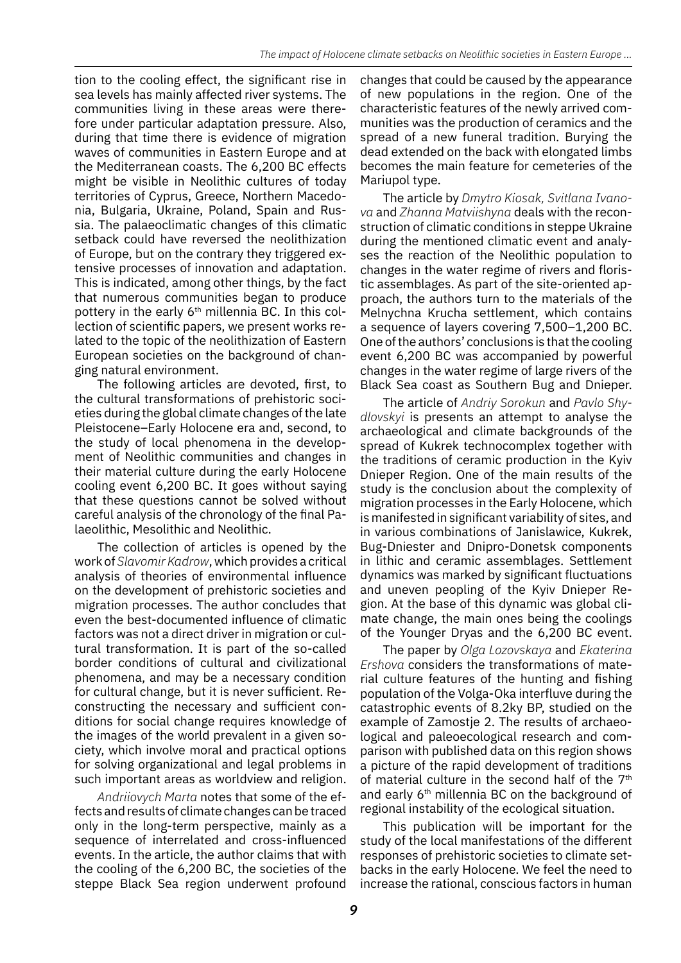tion to the cooling effect, the significant rise in sea levels has mainly affected river systems. The communities living in these areas were therefore under particular adaptation pressure. Also, during that time there is evidence of migration waves of communities in Eastern Europe and at the Mediterranean coasts. The 6,200 BC effects might be visible in Neolithic cultures of today territories of Cyprus, Greece, Northern Macedonia, Bulgaria, Ukraine, Poland, Spain and Russia. The palaeoclimatic changes of this climatic setback could have reversed the neolithization of Europe, but on the contrary they triggered extensive processes of innovation and adaptation. This is indicated, among other things, by the fact that numerous communities began to produce pottery in the early 6<sup>th</sup> millennia BC. In this collection of scientific papers, we present works related to the topic of the neolithization of Eastern European societies on the background of changing natural environment.

The following articles are devoted, first, to the cultural transformations of prehistoric societies during the global climate changes of the late Pleistocene–Early Holocene era and, second, to the study of local phenomena in the development of Neolithic communities and changes in their material culture during the early Holocene cooling event 6,200 BC. It goes without saying that these questions cannot be solved without careful analysis of the chronology of the final Palaeolithic, Mesolithic and Neolithic.

The collection of articles is opened by the work of *Slavomir Kadrow*, which provides a critical analysis of theories of environmental influence on the development of prehistoric societies and migration processes. The author concludes that even the best-documented influence of climatic factors was not a direct driver in migration or cultural transformation. It is part of the so-called border conditions of cultural and civilizational phenomena, and may be a necessary condition for cultural change, but it is never sufficient. Reconstructing the necessary and sufficient conditions for social change requires knowledge of the images of the world prevalent in a given society, which involve moral and practical options for solving organizational and legal problems in such important areas as worldview and religion.

*Andriiovych Marta* notes that some of the effects and results of climate changes can be traced only in the long-term perspective, mainly as a sequence of interrelated and cross-influenced events. In the article, the author claims that with the cooling of the 6,200 BC, the societies of the steppe Black Sea region underwent profound changes that could be caused by the appearance of new populations in the region. One of the characteristic features of the newly arrived communities was the production of ceramics and the spread of a new funeral tradition. Burying the dead extended on the back with elongated limbs becomes the main feature for cemeteries of the Mariupol type.

The article by *Dmytro Kiosak, Svitlana Ivanova* and *Zhanna Matviishyna* deals with the reconstruction of climatic conditions in steppe Ukraine during the mentioned climatic event and analyses the reaction of the Neolithic population to changes in the water regime of rivers and floristic assemblages. As part of the site-oriented approach, the authors turn to the materials of the Melnychna Krucha settlement, which contains a sequence of layers covering 7,500–1,200 BC. One of the authors' conclusions is that the cooling event 6,200 BC was accompanied by powerful changes in the water regime of large rivers of the Black Sea coast as Southern Bug and Dnieper.

The article of *Andriy Sorokun* and *Pavlo Shydlovskyi* is presents an attempt to analyse the archaeological and climate backgrounds of the spread of Kukrek technocomplex together with the traditions of ceramic production in the Kyiv Dnieper Region. One of the main results of the study is the conclusion about the complexity of migration processes in the Early Holocene, which is manifested in significant variability of sites, and in various combinations of Janislawice, Kukrek, Bug-Dniester and Dnipro-Donetsk components in lithic and ceramic assemblages. Settlement dynamics was marked by significant fluctuations and uneven peopling of the Kyiv Dnieper Region. At the base of this dynamic was global climate change, the main ones being the coolings of the Younger Dryas and the 6,200 BC event.

The paper by *Olga Lozovskaya* and *Ekaterina Ershova* considers the transformations of material culture features of the hunting and fishing population of the Volga-Oka interfluve during the catastrophic events of 8.2ky BP, studied on the example of Zamostje 2. The results of archaeological and paleoecological research and comparison with published data on this region shows a picture of the rapid development of traditions of material culture in the second half of the 7<sup>th</sup> and early 6<sup>th</sup> millennia BC on the background of regional instability of the ecological situation.

This publication will be important for the study of the local manifestations of the different responses of prehistoric societies to climate setbacks in the early Holocene. We feel the need to increase the rational, conscious factors in human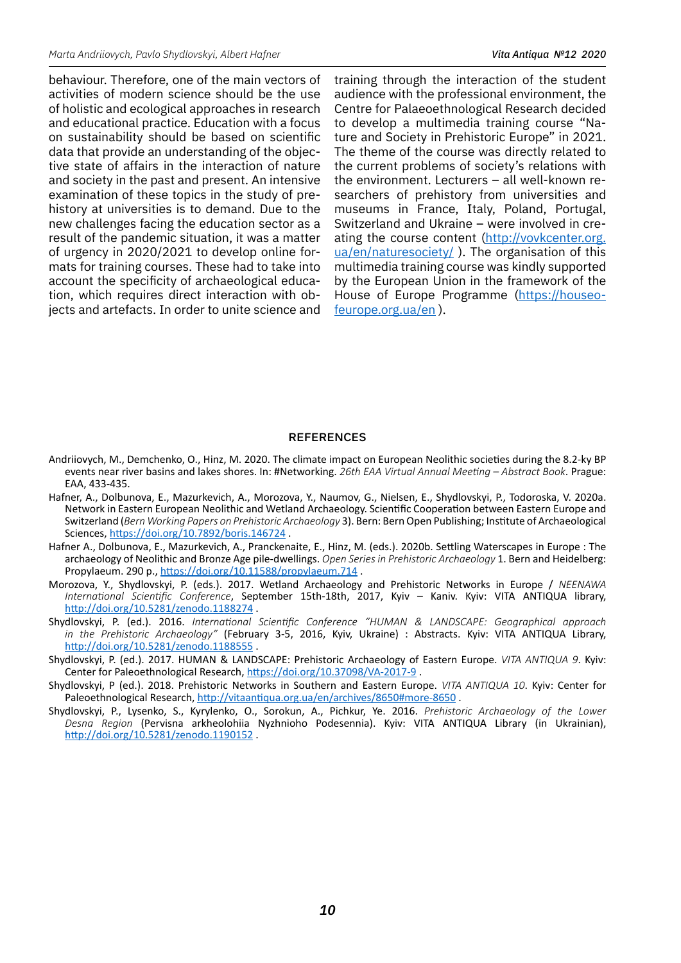behaviour. Therefore, one of the main vectors of activities of modern science should be the use of holistic and ecological approaches in research and educational practice. Education with a focus on sustainability should be based on scientific data that provide an understanding of the objective state of affairs in the interaction of nature and society in the past and present. An intensive examination of these topics in the study of prehistory at universities is to demand. Due to the new challenges facing the education sector as a result of the pandemic situation, it was a matter of urgency in 2020/2021 to develop online formats for training courses. These had to take into account the specificity of archaeological education, which requires direct interaction with objects and artefacts. In order to unite science and training through the interaction of the student audience with the professional environment, the Centre for Palaeoethnological Research decided to develop a multimedia training course "Nature and Society in Prehistoric Europe" in 2021. The theme of the course was directly related to the current problems of society's relations with the environment. Lecturers – all well-known researchers of prehistory from universities and museums in France, Italy, Poland, Portugal, Switzerland and Ukraine – were involved in creating the course content ([http://vovkcenter.org.](http://vovkcenter.org.ua/en/naturesociety/) [ua/en/naturesociety/](http://vovkcenter.org.ua/en/naturesociety/) ). The organisation of this multimedia training course was kindly supported by the European Union in the framework of the House of Europe Programme [\(https://houseo](https://houseofeurope.org.ua/en)[feurope.org.ua/en](https://houseofeurope.org.ua/en) ).

#### **REFERENCES**

- Andriiovych, M., Demchenko, O., Hinz, M. 2020. The climate impact on European Neolithic societies during the 8.2-ky BP events near river basins and lakes shores. In: #Networking. *26th EAA Virtual Annual Meeting – Abstract Book*. Prague: EAA, 433-435.
- Hafner, A., Dolbunova, E., Mazurkevich, A., Morozova, Y., Naumov, G., Nielsen, E., Shydlovskyi, P., Todoroska, V. 2020a. Network in Eastern European Neolithic and Wetland Archaeology. Scientific Cooperation between Eastern Europe and Switzerland (*Bern Working Papers on Prehistoric Archaeology* 3). Bern: Bern Open Publishing; Institute of Archaeological Sciences, <https://doi.org/10.7892/boris.146724> .
- Hafner A., Dolbunova, E., Mazurkevich, A., Pranckenaite, E., Hinz, M. (eds.). 2020b. Settling Waterscapes in Europe : The archaeology of Neolithic and Bronze Age pile-dwellings. *Open Series in Prehistoric Archaeology* 1. Bern and Heidelberg: Propylaeum. 290 p., <https://doi.org/10.11588/propylaeum.714> .
- Morozova, Y., Shydlovskyi, P. (eds.). 2017. Wetland Archaeology and Prehistoric Networks in Europe / *NEENAWA International Scientific Conference*, September 15th-18th, 2017, Kyiv – Kaniv. Kyiv: VITA ANTIQUA library, <http://doi.org/10.5281/zenodo.1188274> .
- Shydlovskyi, P. (ed.). 2016. *International Scientific Conference "HUMAN & LANDSCAPE: Geographical approach in the Prehistoric Archaeology"* (February 3-5, 2016, Kyiv, Ukraine) : Abstracts. Kyiv: VITA ANTIQUA Library, <http://doi.org/10.5281/zenodo.1188555> .
- Shydlovskyi, P. (ed.). 2017. HUMAN & LANDSCAPE: Prehistoric Archaeology of Eastern Europe. *VITA ANTIQUA 9*. Kyiv: Center for Paleoethnological Research, <https://doi.org/10.37098/VA-2017-9> .
- Shydlovskyi, P (ed.). 2018. Prehistoric Networks in Southern and Eastern Europe. *VITA ANTIQUA 10*. Kyiv: Center for Paleoethnological Research, <http://vitaantiqua.org.ua/en/archives/8650#more-8650>.
- Shydlovskyi, P., Lysenko, S., Kyrylenko, O., Sorokun, A., Pichkur, Ye. 2016. *Prehistoric Archaeology of the Lower Desna Region* (Pervisna arkheolohiia Nyzhnioho Podesennia). Kyiv: VITA ANTIQUA Library (in Ukrainian), <http://doi.org/10.5281/zenodo.1190152> .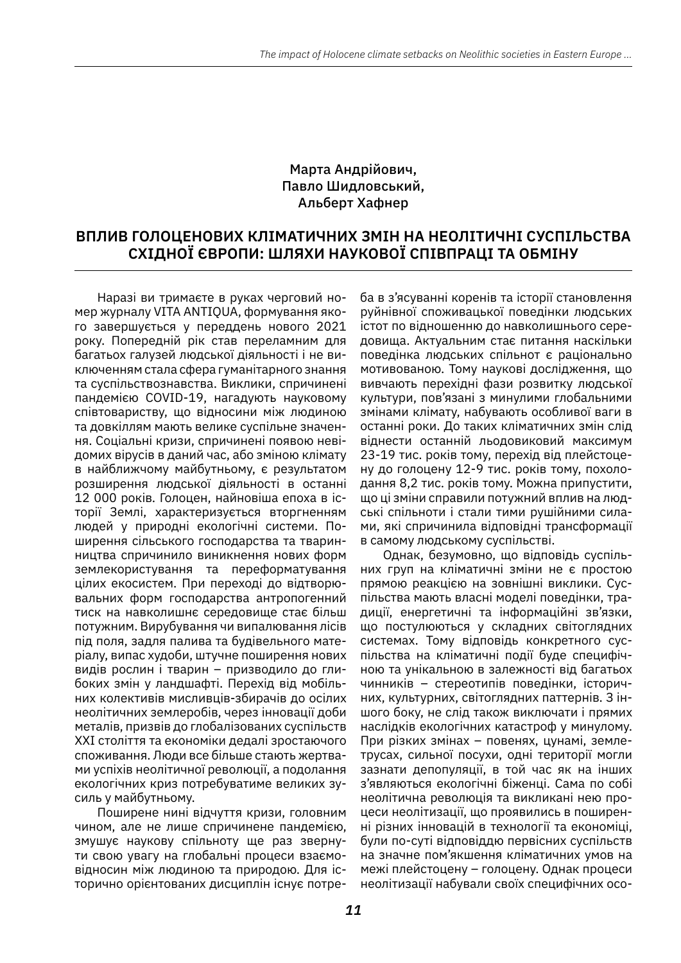## Марта Андрійович, Павло Шидловський, Альберт Хафнер

# **Вплив голоценових кліматичних змін на неолітичні суспільства Східної Європи: шляхи наукової співпраці та обміну**

Наразі ви тримаєте в руках черговий номер журналу VITA ANTIQUA, формування якого завершується у переддень нового 2021 року. Попередній рік став переламним для багатьох галузей людської діяльності і не виключеннямстала сфера гуманітарного знання та суспільствознавства. Виклики, спричинені пандемією COVID-19, нагадують науковому співтовариству, що відносини між людиною та довкіллям мають велике суспільне значення. Соціальні кризи, спричинені появою невідомих вірусів в даний час, або зміною клімату в найближчому майбутньому, є результатом розширення людської діяльності в останні 12 000 років. Голоцен, найновіша епоха в історії Землі, характеризується вторгненням людей у природні екологічні системи. Поширення сільського господарства та тваринництва спричинило виникнення нових форм землекористування та переформатування цілих екосистем. При переході до відтворювальних форм господарства антропогенний тиск на навколишнє середовище стає більш потужним. Вирубування чи випалювання лісів під поля, задля палива та будівельного матеріалу, випас худоби, штучне поширення нових видів рослин і тварин – призводило до глибоких змін у ландшафті. Перехід від мобільних колективів мисливців-збирачів до осілих неолітичних землеробів, через інновації доби металів, призвів до глобалізованих суспільств ХХІ століття та економіки дедалі зростаючого споживання. Люди все більше стають жертвами успіхів неолітичної революції, а подолання екологічних криз потребуватиме великих зусиль у майбутньому.

Поширене нині відчуття кризи, головним чином, але не лише спричинене пандемією, змушує наукову спільноту ще раз звернути свою увагу на глобальні процеси взаємовідносин між людиною та природою. Для історично орієнтованих дисциплін існує потре-

ба в з'ясуванні коренів та історії становлення руйнівної споживацької поведінки людських істот по відношенню до навколишнього середовища. Актуальним стає питання наскільки поведінка людських спільнот є раціонально мотивованою. Тому наукові дослідження, що вивчають перехідні фази розвитку людської культури, пов'язані з минулими глобальними змінами клімату, набувають особливої ваги в останні роки. До таких кліматичних змін слід віднести останній льодовиковий максимум 23-19 тис. років тому, перехід від плейстоцену до голоцену 12-9 тис. років тому, похолодання 8,2 тис. років тому. Можна припустити, що ці зміни справили потужний вплив на людські спільноти і стали тими рушійними силами, які спричинила відповідні трансформації в самому людському суспільстві.

Однак, безумовно, що відповідь суспільних груп на кліматичні зміни не є простою прямою реакцією на зовнішні виклики. Суспільства мають власні моделі поведінки, традиції, енергетичні та інформаційні зв'язки, що постулюються у складних світоглядних системах. Тому відповідь конкретного суспільства на кліматичні події буде специфічною та унікальною в залежності від багатьох чинників – стереотипів поведінки, історичних, культурних, світоглядних паттернів. З іншого боку, не слід також виключати і прямих наслідків екологічних катастроф у минулому. При різких змінах – повенях, цунамі, землетрусах, сильної посухи, одні території могли зазнати депопуляції, в той час як на інших з'являються екологічні біженці. Сама по собі неолітична революція та викликані нею процеси неолітизації, що проявились в поширенні різних інновацій в технології та економіці, були по-суті відповіддю первісних суспільств на значне пом'якшення кліматичних умов на межі плейстоцену – голоцену. Однак процеси неолітизації набували своїх специфічних осо-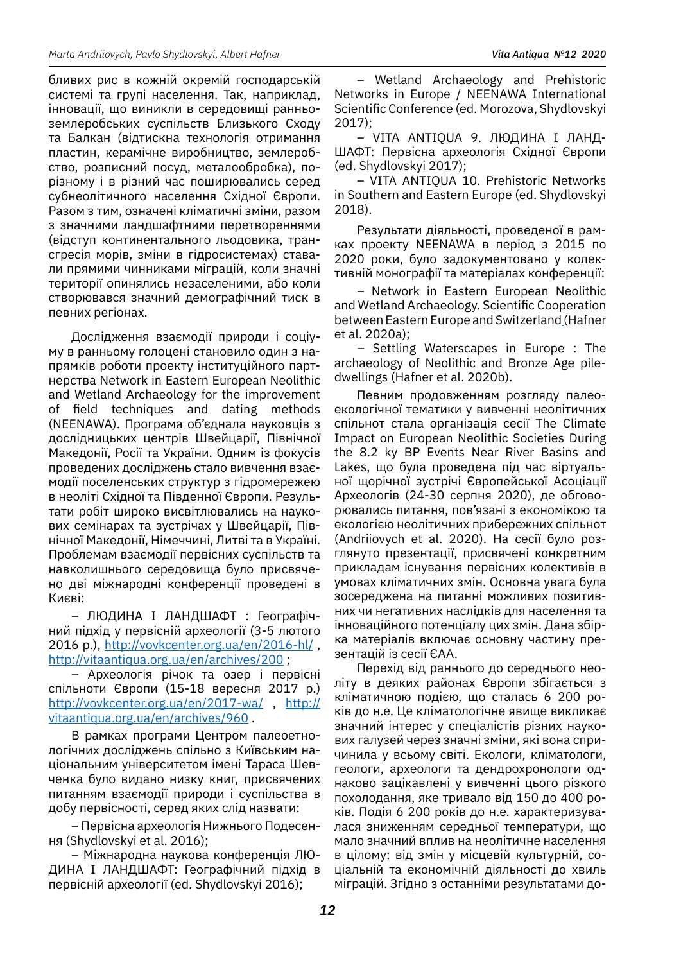бливих рис в кожній окремій господарській системі та групі населення. Так, наприклад, інновації, що виникли в середовищі ранньоземлеробських суспільств Близького Сходу та Балкан (відтискна технологія отримання пластин, керамічне виробництво, землеробство, розписний посуд, металообробка), порізному і в різний час поширювались серед субнеолітичного населення Східної Європи. Разом з тим, означені кліматичні зміни, разом з значними ландшафтними перетвореннями (відступ континентального льодовика, трансгресія морів, зміни в гідросистемах) ставали прямими чинниками міграцій, коли значні території опинялись незаселеними, або коли створювався значний демографічний тиск в певних регіонах.

Дослідження взаємодії природи і соціуму в ранньому голоцені становило один з напрямків роботи проекту інституційного партнерства Network in Eastern European Neolithic and Wetland Archaeology for the improvement of field techniques and dating methods (NEENAWA). Програма об'єднала науковців з дослідницьких центрів Швейцарії, Північної Македонії, Росії та України. Одним із фокусів проведених досліджень стало вивчення взаємодії поселенських структур з гідромережею в неоліті Східної та Південної Європи. Результати робіт широко висвітлювались на наукових семінарах та зустрічах у Швейцарії, Північної Македонії, Німеччині, Литві та в Україні. Проблемам взаємодії первісних суспільств та навколишнього середовища було присвячено дві міжнародні конференції проведені в Києві:

– ЛЮДИНА І ЛАНДШАФТ : Географічний підхід у первісній археології (3-5 лютого 2016 р.), <http://vovkcenter.org.ua/en/2016-hl/> , <http://vitaantiqua.org.ua/en/archives/200>;

– Археологія річок та озер і первісні спільноти Європи (15-18 вересня 2017 р.) <http://vovkcenter.org.ua/en/2017-wa/> , [http://](http://vitaantiqua.org.ua/en/archives/960) [vitaantiqua.org.ua/en/archives/960](http://vitaantiqua.org.ua/en/archives/960) .

В рамках програми Центром палеоетнологічних досліджень спільно з Київським національним університетом імені Тараса Шевченка було видано низку книг, присвячених питанням взаємодії природи і суспільства в добу первісності, серед яких слід назвати:

– Первісна археологія Нижнього Подесення (Shydlovskyi et al. 2016);

– Міжнародна наукова конференція ЛЮ-ДИНА І ЛАНДШАФТ: Географічний підхід в первісній археології (ed. Shydlovskyi 2016);

– Wetland Archaeology and Prehistoric Networks in Europe / NEENAWA International Scientific Conference (ed. Morozova, Shydlovskyi 2017);

– VITA ANTIQUA 9. ЛЮДИНА І ЛАНД-ШАФТ: Первісна археологія Східної Європи (ed. Shydlovskyi 2017);

– VITA ANTIQUA 10. Prehistoric Networks in Southern and Eastern Europe (ed. Shydlovskyi 2018).

Результати діяльності, проведеної в рамках проекту NEENAWA в період з 2015 по 2020 роки, було задокументовано у колективній монографії та матеріалах конференції:

– Network in Eastern European Neolithic and Wetland Archaeology. Scientific Cooperation between Eastern Europe and Switzerland (Hafner et al. 2020a);

– Settling Waterscapes in Europe : The archaeology of Neolithic and Bronze Age piledwellings (Hafner et al. 2020b).

Певним продовженням розгляду палеоекологічної тематики у вивченні неолітичних спільнот стала організація сесії The Climate Impact on European Neolithic Societies During the 8.2 ky BP Events Near River Basins and Lakes, що була проведена під час віртуальної щорічної зустрічі Європейської Асоціації Археологів (24-30 серпня 2020), де обговорювались питання, пов'язані з економікою та екологією неолітичних прибережних спільнот (Andriiovych et al. 2020). На сесії було розглянуто презентації, присвячені конкретним прикладам існування первісних колективів в умовах кліматичних змін. Основна увага була зосереджена на питанні можливих позитивних чи негативних наслідків для населення та інноваційного потенціалу цих змін. Дана збірка матеріалів включає основну частину презентацій із сесії ЄAA.

Перехід від раннього до середнього неоліту в деяких районах Європи збігається з кліматичною подією, що сталась 6 200 років до н.е. Це кліматологічне явище викликає значний інтерес у спеціалістів різних наукових галузей через значні зміни, які вона спричинила у всьому світі. Екологи, кліматологи, геологи, археологи та дендрохронологи однаково зацікавлені у вивченні цього різкого похолодання, яке тривало від 150 до 400 років. Подія 6 200 років до н.е. характеризувалася зниженням середньої температури, що мало значний вплив на неолітичне населення в цілому: від змін у місцевій культурній, соціальній та економічній діяльності до хвиль міграцій. Згідно з останніми результатами до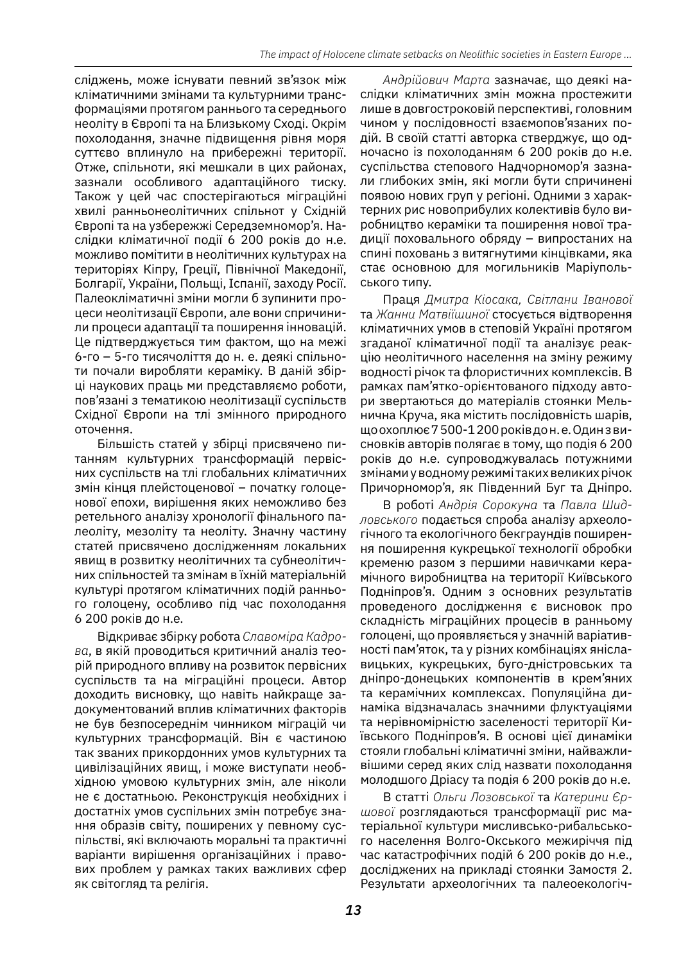сліджень, може існувати певний зв'язок між кліматичними змінами та культурними трансформаціями протягом раннього та середнього неоліту в Європі та на Близькому Сході. Окрім похолодання, значне підвищення рівня моря суттєво вплинуло на прибережні території. Отже, спільноти, які мешкали в цих районах, зазнали особливого адаптаційного тиску. Також у цей час спостерігаються міграційні хвилі ранньонеолітичних спільнот у Східній Європі та на узбережжі Середземномор'я. Наслідки кліматичної події 6 200 років до н.е. можливо помітити в неолітичних культурах на територіях Кіпру, Греції, Північної Македонії, Болгарії, України, Польщі, Іспанії, заходу Росії. Палеокліматичні зміни могли б зупинити процеси неолітизації Європи, але вони спричинили процеси адаптації та поширення інновацій. Це підтверджується тим фактом, що на межі 6-го – 5-го тисячоліття до н. е. деякі спільноти почали виробляти кераміку. В даній збірці наукових праць ми представляємо роботи, пов'язані з тематикою неолітизації суспільств Східної Європи на тлі змінного природного оточення.

Більшість статей у збірці присвячено питанням культурних трансформацій первісних суспільств на тлі глобальних кліматичних змін кінця плейстоценової – початку голоценової епохи, вирішення яких неможливо без ретельного аналізу хронології фінального палеоліту, мезоліту та неоліту. Значну частину статей присвячено дослідженням локальних явищ в розвитку неолітичних та субнеолітичних спільностей та змінам в їхній матеріальній культурі протягом кліматичних подій раннього голоцену, особливо під час похолодання 6 200 років до н.е.

Відкриває збірку робота *Славоміра Кадрова*, в якій проводиться критичний аналіз теорій природного впливу на розвиток первісних суспільств та на міграційні процеси. Автор доходить висновку, що навіть найкраще задокументований вплив кліматичних факторів не був безпосереднім чинником міграцій чи культурних трансформацій. Він є частиною так званих прикордонних умов культурних та цивілізаційних явищ, і може виступати необхідною умовою культурних змін, але ніколи не є достатньою. Реконструкція необхідних і достатніх умов суспільних змін потребує знання образів світу, поширених у певному суспільстві, які включають моральні та практичні варіанти вирішення організаційних і правових проблем у рамках таких важливих сфер як світогляд та релігія.

*Андрійович Марта* зазначає, що деякі наслідки кліматичних змін можна простежити лише в довгостроковій перспективі, головним чином у послідовності взаємопов'язаних подій. В своїй статті авторка стверджує, що одночасно із похолоданням 6 200 років до н.е. суспільства степового Надчорномор'я зазнали глибоких змін, які могли бути спричинені появою нових груп у регіоні. Одними з характерних рис новоприбулих колективів було виробництво кераміки та поширення нової традиції поховального обряду – випростаних на спині поховань з витягнутими кінцівками, яка стає основною для могильників Маріупольського типу.

Праця *Дмитра Кіосака, Світлани Іванової* та *Жанни Матвіїшиної* стосується відтворення кліматичних умов в степовій Україні протягом згаданої кліматичної події та аналізує реакцію неолітичного населення на зміну режиму водності річок та флористичних комплексів. В рамках пам'ятко-орієнтованого підходу автори звертаються до матеріалів стоянки Мельнична Круча, яка містить послідовність шарів, щоохоплює7 500-1 200роківдон.е.Одинзвисновків авторів полягає в тому, що подія 6 200 років до н.е. супроводжувалась потужними змінамиуводномурежимі такихвеликихрічок Причорномор'я, як Південний Буг та Дніпро.

В роботі *Андрія Сорокуна* та *Павла Шидловського* подається спроба аналізу археологічного та екологічного бекграундів поширення поширення кукрецької технології обробки кременю разом з першими навичками керамічного виробництва на території Київського Подніпров'я. Одним з основних результатів проведеного дослідження є висновок про складність міграційних процесів в ранньому голоцені, що проявляється у значній варіативності пам'яток, та у різних комбінаціях яніславицьких, кукрецьких, буго-дністровських та дніпро-донецьких компонентів в крем'яних та керамічних комплексах. Популяційна динаміка відзначалась значними флуктуаціями та нерівномірністю заселеності території Київського Подніпров'я. В основі цієї динаміки стояли глобальні кліматичні зміни, найважливішими серед яких слід назвати похолодання молодшого Дріасу та подія 6 200 років до н.е.

В статті *Ольги Лозовської* та *Катерини Єршової* розглядаються трансформації рис матеріальної культури мисливсько-рибальського населення Волго-Окського межиріччя під час катастрофічних подій 6 200 років до н.е., досліджених на прикладі стоянки Замостя 2. Результати археологічних та палеоекологіч-